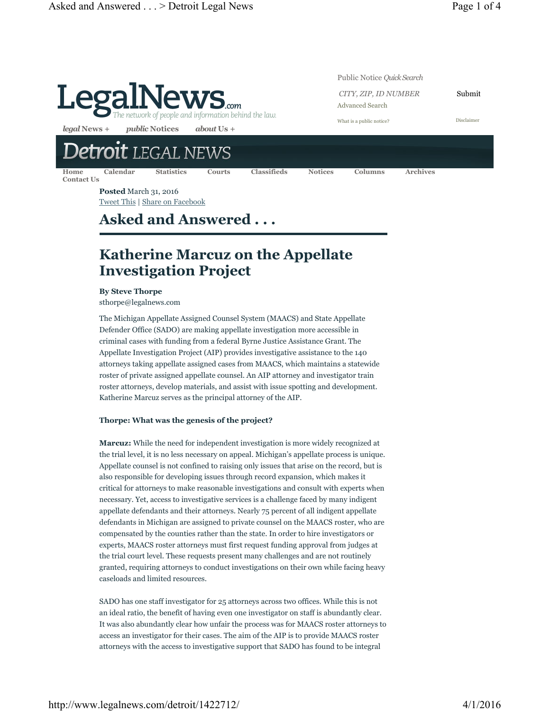

**Posted** March 31, 2016 Tweet This | Share on Facebook

# **Asked and Answered . . .**

# **Katherine Marcuz on the Appellate Investigation Project**

**By Steve Thorpe**

sthorpe@legalnews.com

The Michigan Appellate Assigned Counsel System (MAACS) and State Appellate Defender Office (SADO) are making appellate investigation more accessible in criminal cases with funding from a federal Byrne Justice Assistance Grant. The Appellate Investigation Project (AIP) provides investigative assistance to the 140 attorneys taking appellate assigned cases from MAACS, which maintains a statewide roster of private assigned appellate counsel. An AIP attorney and investigator train roster attorneys, develop materials, and assist with issue spotting and development. Katherine Marcuz serves as the principal attorney of the AIP.

### **Thorpe: What was the genesis of the project?**

**Marcuz:** While the need for independent investigation is more widely recognized at the trial level, it is no less necessary on appeal. Michigan's appellate process is unique. Appellate counsel is not confined to raising only issues that arise on the record, but is also responsible for developing issues through record expansion, which makes it critical for attorneys to make reasonable investigations and consult with experts when necessary. Yet, access to investigative services is a challenge faced by many indigent appellate defendants and their attorneys. Nearly 75 percent of all indigent appellate defendants in Michigan are assigned to private counsel on the MAACS roster, who are compensated by the counties rather than the state. In order to hire investigators or experts, MAACS roster attorneys must first request funding approval from judges at the trial court level. These requests present many challenges and are not routinely granted, requiring attorneys to conduct investigations on their own while facing heavy caseloads and limited resources.

SADO has one staff investigator for 25 attorneys across two offices. While this is not an ideal ratio, the benefit of having even one investigator on staff is abundantly clear. It was also abundantly clear how unfair the process was for MAACS roster attorneys to access an investigator for their cases. The aim of the AIP is to provide MAACS roster attorneys with the access to investigative support that SADO has found to be integral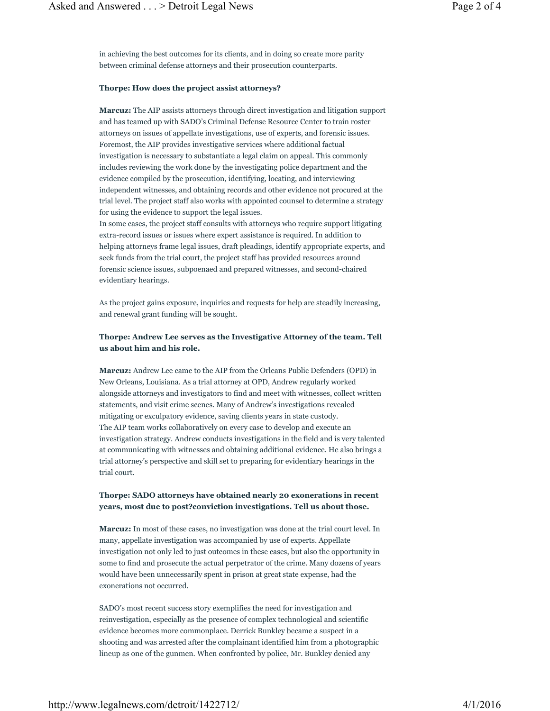in achieving the best outcomes for its clients, and in doing so create more parity between criminal defense attorneys and their prosecution counterparts.

### **Thorpe: How does the project assist attorneys?**

**Marcuz:** The AIP assists attorneys through direct investigation and litigation support and has teamed up with SADO's Criminal Defense Resource Center to train roster attorneys on issues of appellate investigations, use of experts, and forensic issues. Foremost, the AIP provides investigative services where additional factual investigation is necessary to substantiate a legal claim on appeal. This commonly includes reviewing the work done by the investigating police department and the evidence compiled by the prosecution, identifying, locating, and interviewing independent witnesses, and obtaining records and other evidence not procured at the trial level. The project staff also works with appointed counsel to determine a strategy for using the evidence to support the legal issues.

In some cases, the project staff consults with attorneys who require support litigating extra-record issues or issues where expert assistance is required. In addition to helping attorneys frame legal issues, draft pleadings, identify appropriate experts, and seek funds from the trial court, the project staff has provided resources around forensic science issues, subpoenaed and prepared witnesses, and second-chaired evidentiary hearings.

As the project gains exposure, inquiries and requests for help are steadily increasing, and renewal grant funding will be sought.

## **Thorpe: Andrew Lee serves as the Investigative Attorney of the team. Tell us about him and his role.**

**Marcuz:** Andrew Lee came to the AIP from the Orleans Public Defenders (OPD) in New Orleans, Louisiana. As a trial attorney at OPD, Andrew regularly worked alongside attorneys and investigators to find and meet with witnesses, collect written statements, and visit crime scenes. Many of Andrew's investigations revealed mitigating or exculpatory evidence, saving clients years in state custody. The AIP team works collaboratively on every case to develop and execute an investigation strategy. Andrew conducts investigations in the field and is very talented at communicating with witnesses and obtaining additional evidence. He also brings a trial attorney's perspective and skill set to preparing for evidentiary hearings in the trial court.

## **Thorpe: SADO attorneys have obtained nearly 20 exonerations in recent years, most due to post?conviction investigations. Tell us about those.**

**Marcuz:** In most of these cases, no investigation was done at the trial court level. In many, appellate investigation was accompanied by use of experts. Appellate investigation not only led to just outcomes in these cases, but also the opportunity in some to find and prosecute the actual perpetrator of the crime. Many dozens of years would have been unnecessarily spent in prison at great state expense, had the exonerations not occurred.

SADO's most recent success story exemplifies the need for investigation and reinvestigation, especially as the presence of complex technological and scientific evidence becomes more commonplace. Derrick Bunkley became a suspect in a shooting and was arrested after the complainant identified him from a photographic lineup as one of the gunmen. When confronted by police, Mr. Bunkley denied any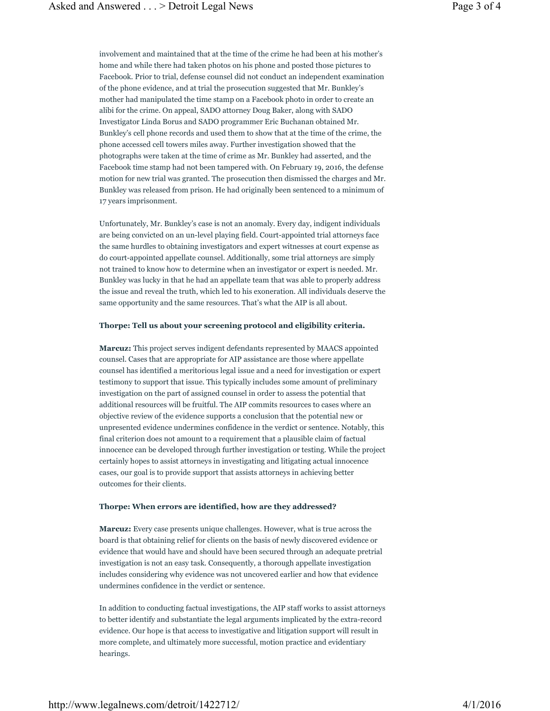involvement and maintained that at the time of the crime he had been at his mother's home and while there had taken photos on his phone and posted those pictures to Facebook. Prior to trial, defense counsel did not conduct an independent examination of the phone evidence, and at trial the prosecution suggested that Mr. Bunkley's mother had manipulated the time stamp on a Facebook photo in order to create an alibi for the crime. On appeal, SADO attorney Doug Baker, along with SADO Investigator Linda Borus and SADO programmer Eric Buchanan obtained Mr. Bunkley's cell phone records and used them to show that at the time of the crime, the phone accessed cell towers miles away. Further investigation showed that the photographs were taken at the time of crime as Mr. Bunkley had asserted, and the Facebook time stamp had not been tampered with. On February 19, 2016, the defense motion for new trial was granted. The prosecution then dismissed the charges and Mr. Bunkley was released from prison. He had originally been sentenced to a minimum of 17 years imprisonment.

Unfortunately, Mr. Bunkley's case is not an anomaly. Every day, indigent individuals are being convicted on an un-level playing field. Court-appointed trial attorneys face the same hurdles to obtaining investigators and expert witnesses at court expense as do court-appointed appellate counsel. Additionally, some trial attorneys are simply not trained to know how to determine when an investigator or expert is needed. Mr. Bunkley was lucky in that he had an appellate team that was able to properly address the issue and reveal the truth, which led to his exoneration. All individuals deserve the same opportunity and the same resources. That's what the AIP is all about.

#### **Thorpe: Tell us about your screening protocol and eligibility criteria.**

**Marcuz:** This project serves indigent defendants represented by MAACS appointed counsel. Cases that are appropriate for AIP assistance are those where appellate counsel has identified a meritorious legal issue and a need for investigation or expert testimony to support that issue. This typically includes some amount of preliminary investigation on the part of assigned counsel in order to assess the potential that additional resources will be fruitful. The AIP commits resources to cases where an objective review of the evidence supports a conclusion that the potential new or unpresented evidence undermines confidence in the verdict or sentence. Notably, this final criterion does not amount to a requirement that a plausible claim of factual innocence can be developed through further investigation or testing. While the project certainly hopes to assist attorneys in investigating and litigating actual innocence cases, our goal is to provide support that assists attorneys in achieving better outcomes for their clients.

#### **Thorpe: When errors are identified, how are they addressed?**

**Marcuz:** Every case presents unique challenges. However, what is true across the board is that obtaining relief for clients on the basis of newly discovered evidence or evidence that would have and should have been secured through an adequate pretrial investigation is not an easy task. Consequently, a thorough appellate investigation includes considering why evidence was not uncovered earlier and how that evidence undermines confidence in the verdict or sentence.

In addition to conducting factual investigations, the AIP staff works to assist attorneys to better identify and substantiate the legal arguments implicated by the extra-record evidence. Our hope is that access to investigative and litigation support will result in more complete, and ultimately more successful, motion practice and evidentiary hearings.